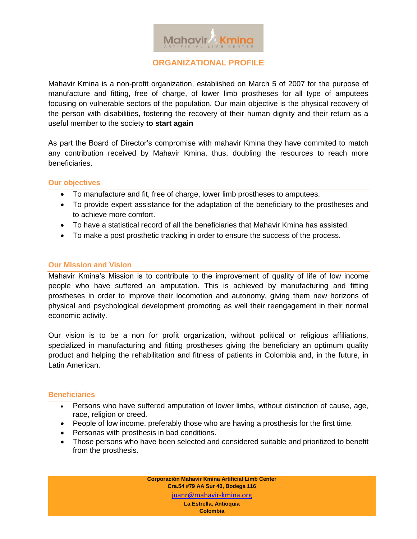

**ORGANIZATIONAL PROFILE**

Mahavir Kmina is a non-profit organization, established on March 5 of 2007 for the purpose of manufacture and fitting, free of charge, of lower limb prostheses for all type of amputees focusing on vulnerable sectors of the population. Our main objective is the physical recovery of the person with disabilities, fostering the recovery of their human dignity and their return as a useful member to the society **to start again**

As part the Board of Director's compromise with mahavir Kmina they have commited to match any contribution received by Mahavir Kmina, thus, doubling the resources to reach more beneficiaries.

## **Our objectives**

- To manufacture and fit, free of charge, lower limb prostheses to amputees.
- To provide expert assistance for the adaptation of the beneficiary to the prostheses and to achieve more comfort.
- To have a statistical record of all the beneficiaries that Mahavir Kmina has assisted.
- To make a post prosthetic tracking in order to ensure the success of the process.

## **Our Mission and Vision**

Mahavir Kmina's Mission is to contribute to the improvement of quality of life of low income people who have suffered an amputation. This is achieved by manufacturing and fitting prostheses in order to improve their locomotion and autonomy, giving them new horizons of physical and psychological development promoting as well their reengagement in their normal economic activity.

Our vision is to be a non for profit organization, without political or religious affiliations, specialized in manufacturing and fitting prostheses giving the beneficiary an optimum quality product and helping the rehabilitation and fitness of patients in Colombia and, in the future, in Latin American.

# **Beneficiaries**

- Persons who have suffered amputation of lower limbs, without distinction of cause, age, race, religion or creed.
- People of low income, preferably those who are having a prosthesis for the first time.
- Personas with prosthesis in bad conditions.
- Those persons who have been selected and considered suitable and prioritized to benefit from the prosthesis.

**Corporación Mahavir Kmina Artificial Limb Center Cra.54 #79 AA Sur 40, Bodega 116** juanr@mahavir-kmina.org **La Estrella, Antioquia Colombia**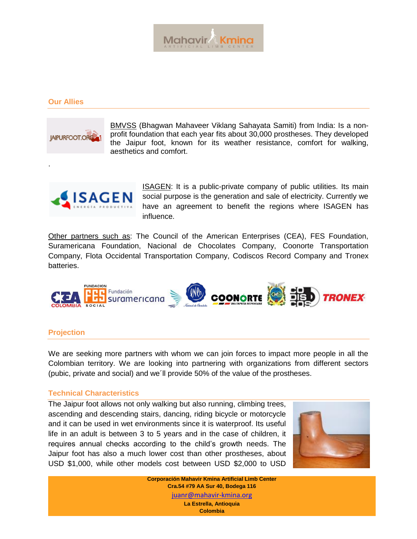

### **Our Allies**

.



BMVSS (Bhagwan Mahaveer Viklang Sahayata Samiti) from India: Is a nonprofit foundation that each year fits about 30,000 prostheses. They developed the Jaipur foot, known for its weather resistance, comfort for walking, aesthetics and comfort.



ISAGEN: It is a public-private company of public utilities. Its main social purpose is the generation and sale of electricity. Currently we have an agreement to benefit the regions where ISAGEN has influence.

Other partners such as: The Council of the American Enterprises (CEA), FES Foundation, Suramericana Foundation, Nacional de Chocolates Company, Coonorte Transportation Company, Flota Occidental Transportation Company, Codiscos Record Company and Tronex batteries.



#### **Projection**

We are seeking more partners with whom we can join forces to impact more people in all the Colombian territory. We are looking into partnering with organizations from different sectors (pubic, private and social) and we´ll provide 50% of the value of the prostheses.

#### **Technical Characteristics**

The Jaipur foot allows not only walking but also running, climbing trees, ascending and descending stairs, dancing, riding bicycle or motorcycle and it can be used in wet environments since it is waterproof. Its useful life in an adult is between 3 to 5 years and in the case of children, it requires annual checks according to the child's growth needs. The Jaipur foot has also a much lower cost than other prostheses, about USD \$1,000, while other models cost between USD \$2,000 to USD



**Corporación Mahavir Kmina Artificial Limb Center Cra.54 #79 AA Sur 40, Bodega 116** juanr@mahavir-kmina.org **La Estrella, Antioquia Colombia**